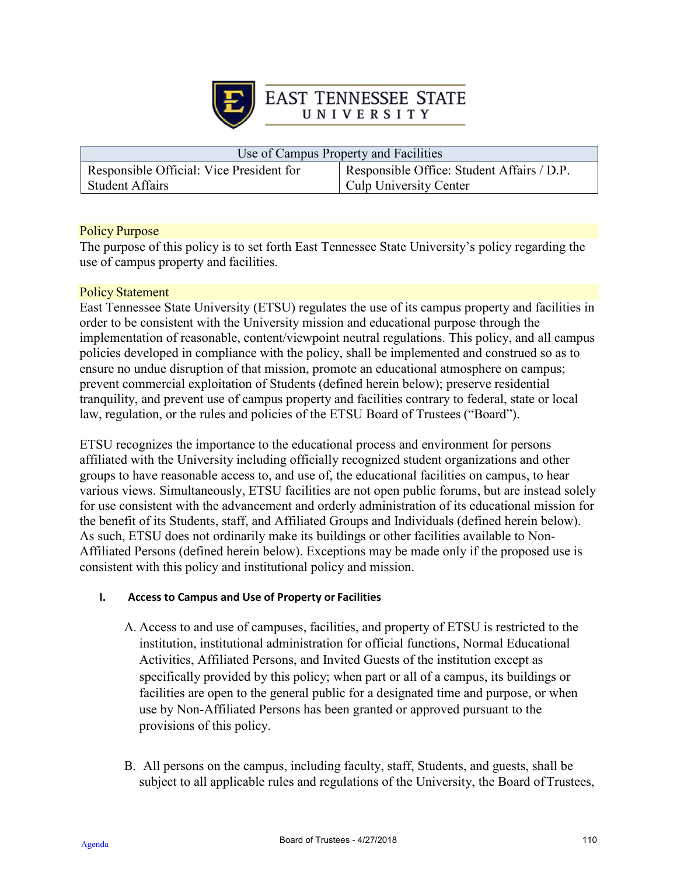

| Use of Campus Property and Facilities    |                                            |  |
|------------------------------------------|--------------------------------------------|--|
| Responsible Official: Vice President for | Responsible Office: Student Affairs / D.P. |  |
| <b>Student Affairs</b>                   | Culp University Center                     |  |

### Policy Purpose

The purpose of this policy is to set forth East Tennessee State University's policy regarding the use of campus property and facilities.

#### Policy Statement

East Tennessee State University (ETSU) regulates the use of its campus property and facilities in order to be consistent with the University mission and educational purpose through the implementation of reasonable, content/viewpoint neutral regulations. This policy, and all campus policies developed in compliance with the policy, shall be implemented and construed so as to ensure no undue disruption of that mission, promote an educational atmosphere on campus; prevent commercial exploitation of Students (defined herein below); preserve residential tranquility, and prevent use of campus property and facilities contrary to federal, state or local law, regulation, or the rules and policies of the ETSU Board of Trustees ("Board").

ETSU recognizes the importance to the educational process and environment for persons affiliated with the University including officially recognized student organizations and other groups to have reasonable access to, and use of, the educational facilities on campus, to hear various views. Simultaneously, ETSU facilities are not open public forums, but are instead solely for use consistent with the advancement and orderly administration of its educational mission for the benefit of its Students, staff, and Affiliated Groups and Individuals (defined herein below). As such, ETSU does not ordinarily make its buildings or other facilities available to Non-Affiliated Persons (defined herein below). Exceptions may be made only if the proposed use is consistent with this policy and institutional policy and mission.

### **I. Access to Campus and Use of Property or Facilities**

- A. Access to and use of campuses, facilities, and property of ETSU is restricted to the institution, institutional administration for official functions, Normal Educational Activities, Affiliated Persons, and Invited Guests of the institution except as specifically provided by this policy; when part or all of a campus, its buildings or facilities are open to the general public for a designated time and purpose, or when use by Non-Affiliated Persons has been granted or approved pursuant to the provisions of this policy.
- B. All persons on the campus, including faculty, staff, Students, and guests, shall be subject to all applicable rules and regulations of the University, the Board ofTrustees,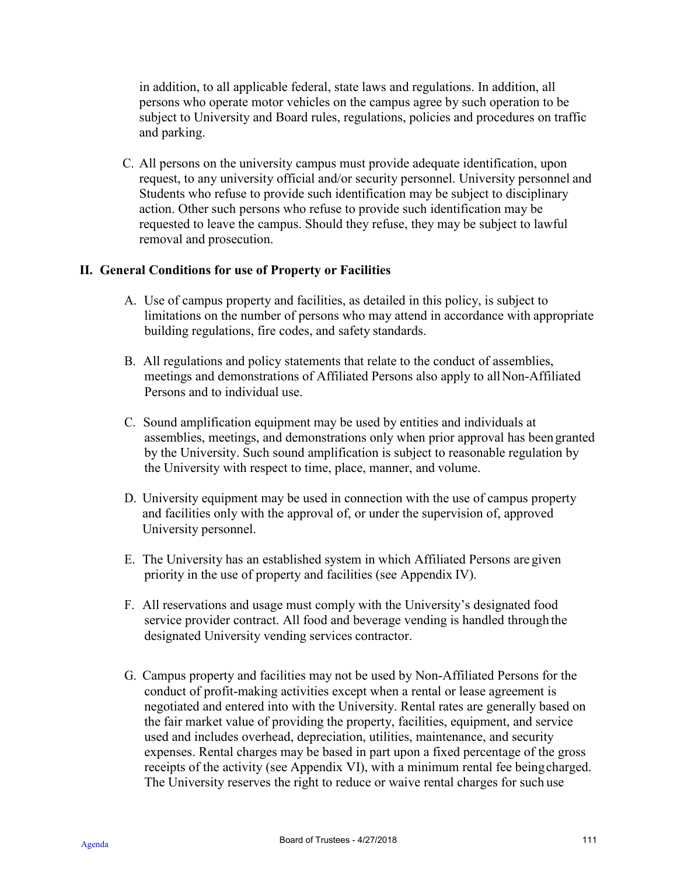in addition, to all applicable federal, state laws and regulations. In addition, all persons who operate motor vehicles on the campus agree by such operation to be subject to University and Board rules, regulations, policies and procedures on traffic and parking.

C. All persons on the university campus must provide adequate identification, upon request, to any university official and/or security personnel. University personnel and Students who refuse to provide such identification may be subject to disciplinary action. Other such persons who refuse to provide such identification may be requested to leave the campus. Should they refuse, they may be subject to lawful removal and prosecution.

# **II. General Conditions for use of Property or Facilities**

- A. Use of campus property and facilities, as detailed in this policy, is subject to limitations on the number of persons who may attend in accordance with appropriate building regulations, fire codes, and safety standards.
- B. All regulations and policy statements that relate to the conduct of assemblies, meetings and demonstrations of Affiliated Persons also apply to allNon-Affiliated Persons and to individual use.
- C. Sound amplification equipment may be used by entities and individuals at assemblies, meetings, and demonstrations only when prior approval has been granted by the University. Such sound amplification is subject to reasonable regulation by the University with respect to time, place, manner, and volume.
- D. University equipment may be used in connection with the use of campus property and facilities only with the approval of, or under the supervision of, approved University personnel.
- E. The University has an established system in which Affiliated Persons are given priority in the use of property and facilities (see Appendix IV).
- F. All reservations and usage must comply with the University's designated food service provider contract. All food and beverage vending is handled through the designated University vending services contractor.
- G. Campus property and facilities may not be used by Non-Affiliated Persons for the conduct of profit-making activities except when a rental or lease agreement is negotiated and entered into with the University. Rental rates are generally based on the fair market value of providing the property, facilities, equipment, and service used and includes overhead, depreciation, utilities, maintenance, and security expenses. Rental charges may be based in part upon a fixed percentage of the gross receipts of the activity (see Appendix VI), with a minimum rental fee beingcharged. The University reserves the right to reduce or waive rental charges for such use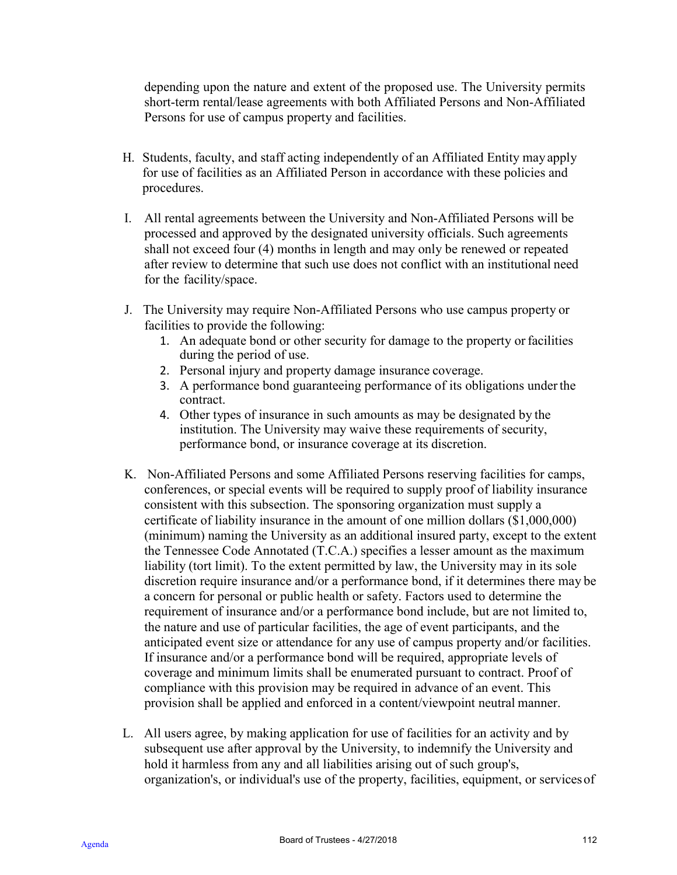depending upon the nature and extent of the proposed use. The University permits short-term rental/lease agreements with both Affiliated Persons and Non-Affiliated Persons for use of campus property and facilities.

- H. Students, faculty, and staff acting independently of an Affiliated Entity mayapply for use of facilities as an Affiliated Person in accordance with these policies and procedures.
- I. All rental agreements between the University and Non-Affiliated Persons will be processed and approved by the designated university officials. Such agreements shall not exceed four (4) months in length and may only be renewed or repeated after review to determine that such use does not conflict with an institutional need for the facility/space.
- J. The University may require Non-Affiliated Persons who use campus property or facilities to provide the following:
	- 1. An adequate bond or other security for damage to the property orfacilities during the period of use.
	- 2. Personal injury and property damage insurance coverage.
	- 3. A performance bond guaranteeing performance of its obligations underthe contract.
	- 4. Other types of insurance in such amounts as may be designated by the institution. The University may waive these requirements of security, performance bond, or insurance coverage at its discretion.
- K. Non-Affiliated Persons and some Affiliated Persons reserving facilities for camps, conferences, or special events will be required to supply proof of liability insurance consistent with this subsection. The sponsoring organization must supply a certificate of liability insurance in the amount of one million dollars (\$1,000,000) (minimum) naming the University as an additional insured party, except to the extent the Tennessee Code Annotated (T.C.A.) specifies a lesser amount as the maximum liability (tort limit). To the extent permitted by law, the University may in its sole discretion require insurance and/or a performance bond, if it determines there may be a concern for personal or public health or safety. Factors used to determine the requirement of insurance and/or a performance bond include, but are not limited to, the nature and use of particular facilities, the age of event participants, and the anticipated event size or attendance for any use of campus property and/or facilities. If insurance and/or a performance bond will be required, appropriate levels of coverage and minimum limits shall be enumerated pursuant to contract. Proof of compliance with this provision may be required in advance of an event. This provision shall be applied and enforced in a content/viewpoint neutral manner.
- L. All users agree, by making application for use of facilities for an activity and by subsequent use after approval by the University, to indemnify the University and hold it harmless from any and all liabilities arising out of such group's, organization's, or individual's use of the property, facilities, equipment, or servicesof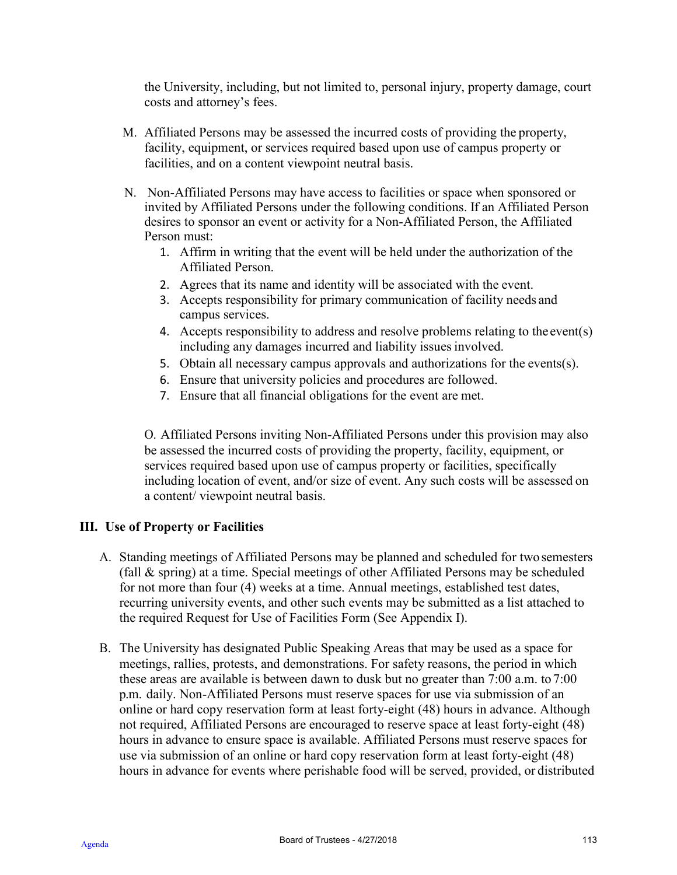the University, including, but not limited to, personal injury, property damage, court costs and attorney's fees.

- M. Affiliated Persons may be assessed the incurred costs of providing the property, facility, equipment, or services required based upon use of campus property or facilities, and on a content viewpoint neutral basis.
- N. Non-Affiliated Persons may have access to facilities or space when sponsored or invited by Affiliated Persons under the following conditions. If an Affiliated Person desires to sponsor an event or activity for a Non-Affiliated Person, the Affiliated Person must:
	- 1. Affirm in writing that the event will be held under the authorization of the Affiliated Person.
	- 2. Agrees that its name and identity will be associated with the event.
	- 3. Accepts responsibility for primary communication of facility needs and campus services.
	- 4. Accepts responsibility to address and resolve problems relating to the event(s) including any damages incurred and liability issues involved.
	- 5. Obtain all necessary campus approvals and authorizations for the events(s).
	- 6. Ensure that university policies and procedures are followed.
	- 7. Ensure that all financial obligations for the event are met.

O. Affiliated Persons inviting Non-Affiliated Persons under this provision may also be assessed the incurred costs of providing the property, facility, equipment, or services required based upon use of campus property or facilities, specifically including location of event, and/or size of event. Any such costs will be assessed on a content/ viewpoint neutral basis.

# **III. Use of Property or Facilities**

- A. Standing meetings of Affiliated Persons may be planned and scheduled for twosemesters (fall & spring) at a time. Special meetings of other Affiliated Persons may be scheduled for not more than four (4) weeks at a time. Annual meetings, established test dates, recurring university events, and other such events may be submitted as a list attached to the required Request for Use of Facilities Form (See Appendix I).
- B. The University has designated Public Speaking Areas that may be used as a space for meetings, rallies, protests, and demonstrations. For safety reasons, the period in which these areas are available is between dawn to dusk but no greater than 7:00 a.m. to 7:00 p.m. daily. Non-Affiliated Persons must reserve spaces for use via submission of an online or hard copy reservation form at least forty-eight (48) hours in advance. Although not required, Affiliated Persons are encouraged to reserve space at least forty-eight (48) hours in advance to ensure space is available. Affiliated Persons must reserve spaces for use via submission of an online or hard copy reservation form at least forty-eight (48) hours in advance for events where perishable food will be served, provided, or distributed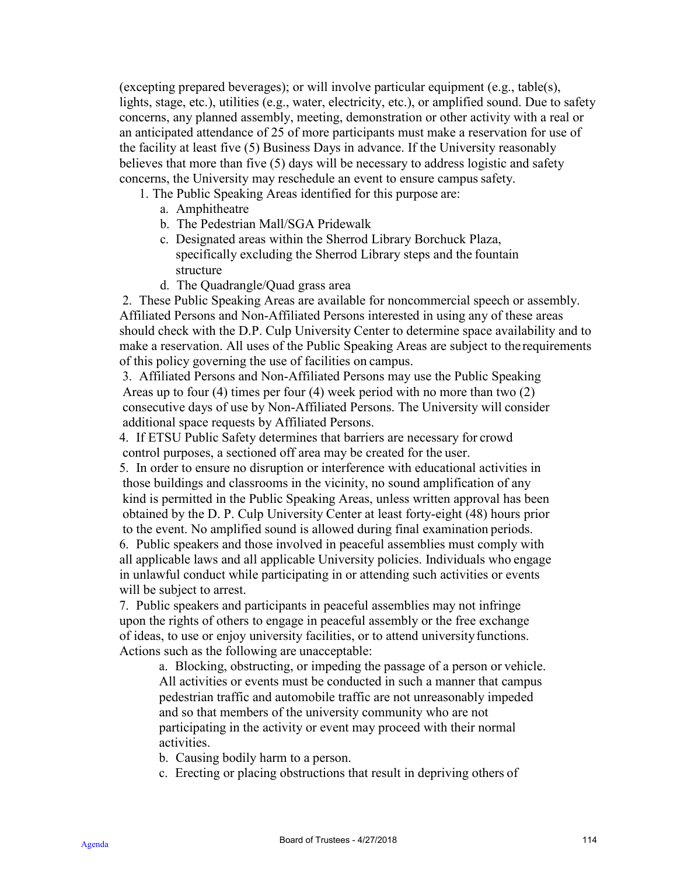(excepting prepared beverages); or will involve particular equipment (e.g., table(s), lights, stage, etc.), utilities (e.g., water, electricity, etc.), or amplified sound. Due to safety concerns, any planned assembly, meeting, demonstration or other activity with a real or an anticipated attendance of 25 of more participants must make a reservation for use of the facility at least five (5) Business Days in advance. If the University reasonably believes that more than five (5) days will be necessary to address logistic and safety concerns, the University may reschedule an event to ensure campus safety.

- 1. The Public Speaking Areas identified for this purpose are:
	- a. Amphitheatre
	- b. The Pedestrian Mall/SGA Pridewalk
	- c. Designated areas within the Sherrod Library Borchuck Plaza, specifically excluding the Sherrod Library steps and the fountain structure
	- d. The Quadrangle/Quad grass area

2. These Public Speaking Areas are available for noncommercial speech or assembly. Affiliated Persons and Non-Affiliated Persons interested in using any of these areas should check with the D.P. Culp University Center to determine space availability and to make a reservation. All uses of the Public Speaking Areas are subject to the requirements of this policy governing the use of facilities on campus.

3. Affiliated Persons and Non-Affiliated Persons may use the Public Speaking Areas up to four (4) times per four (4) week period with no more than two (2) consecutive days of use by Non-Affiliated Persons. The University will consider additional space requests by Affiliated Persons.

4. If ETSU Public Safety determines that barriers are necessary for crowd control purposes, a sectioned off area may be created for the user.

5. In order to ensure no disruption or interference with educational activities in those buildings and classrooms in the vicinity, no sound amplification of any kind is permitted in the Public Speaking Areas, unless written approval has been obtained by the D. P. Culp University Center at least forty-eight (48) hours prior to the event. No amplified sound is allowed during final examination periods.

6. Public speakers and those involved in peaceful assemblies must comply with all applicable laws and all applicable University policies. Individuals who engage in unlawful conduct while participating in or attending such activities or events will be subject to arrest.

7. Public speakers and participants in peaceful assemblies may not infringe upon the rights of others to engage in peaceful assembly or the free exchange of ideas, to use or enjoy university facilities, or to attend universityfunctions. Actions such as the following are unacceptable:

a. Blocking, obstructing, or impeding the passage of a person or vehicle. All activities or events must be conducted in such a manner that campus pedestrian traffic and automobile traffic are not unreasonably impeded and so that members of the university community who are not participating in the activity or event may proceed with their normal activities.

b. Causing bodily harm to a person.

c. Erecting or placing obstructions that result in depriving others of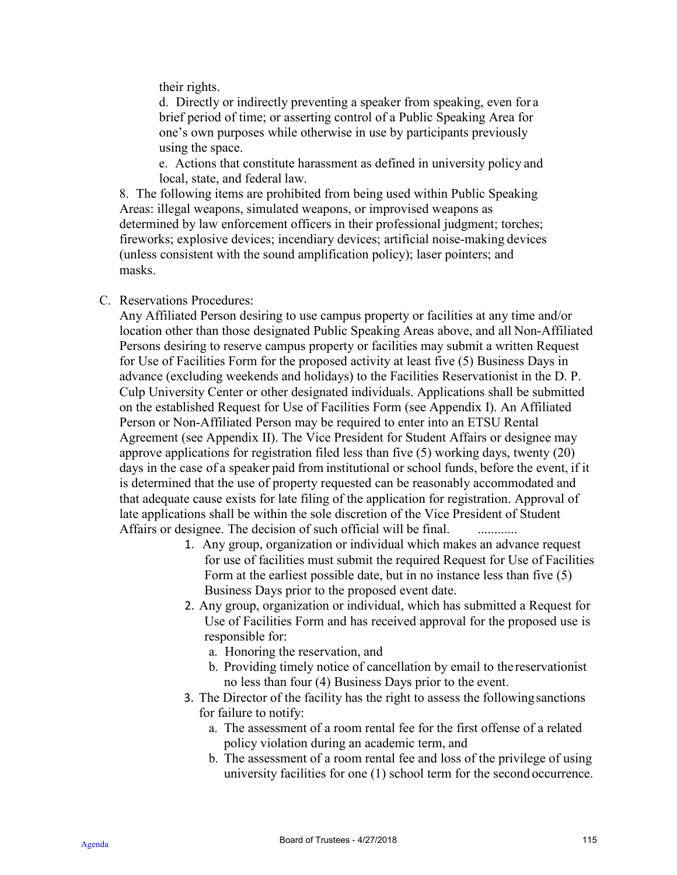their rights.

d. Directly or indirectly preventing a speaker from speaking, even for a brief period of time; or asserting control of a Public Speaking Area for one's own purposes while otherwise in use by participants previously using the space.

e. Actions that constitute harassment as defined in university policy and local, state, and federal law.

8. The following items are prohibited from being used within Public Speaking Areas: illegal weapons, simulated weapons, or improvised weapons as determined by law enforcement officers in their professional judgment; torches; fireworks; explosive devices; incendiary devices; artificial noise-making devices (unless consistent with the sound amplification policy); laser pointers; and masks.

### C. Reservations Procedures:

Any Affiliated Person desiring to use campus property or facilities at any time and/or location other than those designated Public Speaking Areas above, and all Non-Affiliated Persons desiring to reserve campus property or facilities may submit a written Request for Use of Facilities Form for the proposed activity at least five (5) Business Days in advance (excluding weekends and holidays) to the Facilities Reservationist in the D. P. Culp University Center or other designated individuals. Applications shall be submitted on the established Request for Use of Facilities Form (see Appendix I). An Affiliated Person or Non-Affiliated Person may be required to enter into an ETSU Rental Agreement (see Appendix II). The Vice President for Student Affairs or designee may approve applications for registration filed less than five (5) working days, twenty (20) days in the case of a speaker paid from institutional or school funds, before the event, if it is determined that the use of property requested can be reasonably accommodated and that adequate cause exists for late filing of the application for registration. Approval of late applications shall be within the sole discretion of the Vice President of Student Affairs or designee. The decision of such official will be final. ..............

- 1. Any group, organization or individual which makes an advance request for use of facilities must submit the required Request for Use of Facilities Form at the earliest possible date, but in no instance less than five (5) Business Days prior to the proposed event date.
- 2. Any group, organization or individual, which has submitted a Request for Use of Facilities Form and has received approval for the proposed use is responsible for:
	- a. Honoring the reservation, and
	- b. Providing timely notice of cancellation by email to the reservationist no less than four (4) Business Days prior to the event.
- 3. The Director of the facility has the right to assess the followingsanctions for failure to notify:
	- a. The assessment of a room rental fee for the first offense of a related policy violation during an academic term, and
	- b. The assessment of a room rental fee and loss of the privilege of using university facilities for one (1) school term for the second occurrence.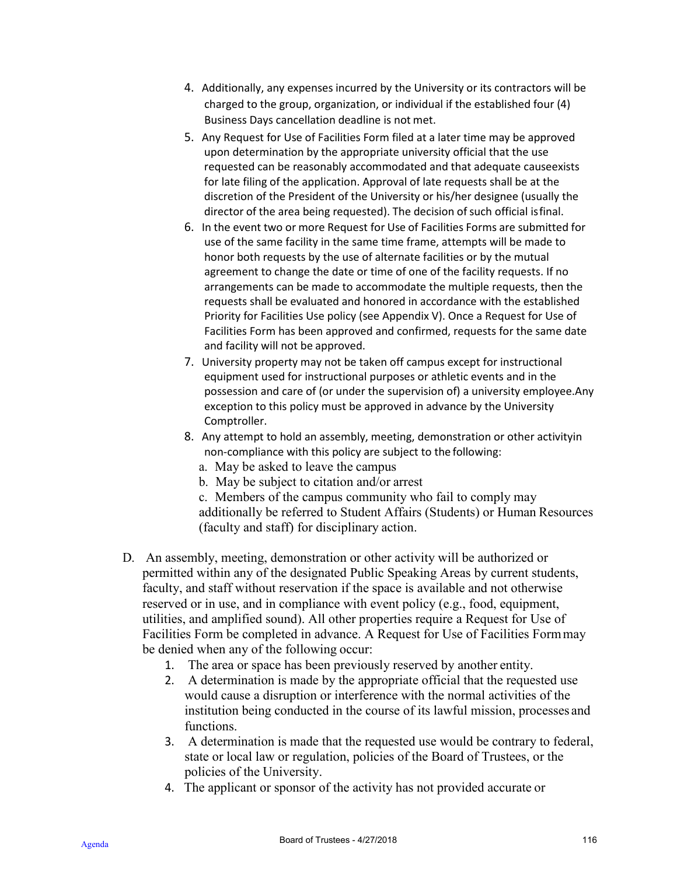- 4. Additionally, any expenses incurred by the University or its contractors will be charged to the group, organization, or individual if the established four (4) Business Days cancellation deadline is not met.
- 5. Any Request for Use of Facilities Form filed at a later time may be approved upon determination by the appropriate university official that the use requested can be reasonably accommodated and that adequate causeexists for late filing of the application. Approval of late requests shall be at the discretion of the President of the University or his/her designee (usually the director of the area being requested). The decision of such official isfinal.
- 6. In the event two or more Request for Use of Facilities Forms are submitted for use of the same facility in the same time frame, attempts will be made to honor both requests by the use of alternate facilities or by the mutual agreement to change the date or time of one of the facility requests. If no arrangements can be made to accommodate the multiple requests, then the requests shall be evaluated and honored in accordance with the established Priority for Facilities Use policy (see Appendix V). Once a Request for Use of Facilities Form has been approved and confirmed, requests for the same date and facility will not be approved.
- 7. University property may not be taken off campus except for instructional equipment used for instructional purposes or athletic events and in the possession and care of (or under the supervision of) a university employee.Any exception to this policy must be approved in advance by the University Comptroller.
- 8. Any attempt to hold an assembly, meeting, demonstration or other activityin non-compliance with this policy are subject to the following:
	- a. May be asked to leave the campus
	- b. May be subject to citation and/or arrest
	- c. Members of the campus community who fail to comply may additionally be referred to Student Affairs (Students) or Human Resources (faculty and staff) for disciplinary action.
- D. An assembly, meeting, demonstration or other activity will be authorized or permitted within any of the designated Public Speaking Areas by current students, faculty, and staff without reservation if the space is available and not otherwise reserved or in use, and in compliance with event policy (e.g., food, equipment, utilities, and amplified sound). All other properties require a Request for Use of Facilities Form be completed in advance. A Request for Use of Facilities Formmay be denied when any of the following occur:
	- 1. The area or space has been previously reserved by another entity.
	- 2. A determination is made by the appropriate official that the requested use would cause a disruption or interference with the normal activities of the institution being conducted in the course of its lawful mission, processes and functions.
	- 3. A determination is made that the requested use would be contrary to federal, state or local law or regulation, policies of the Board of Trustees, or the policies of the University.
	- 4. The applicant or sponsor of the activity has not provided accurate or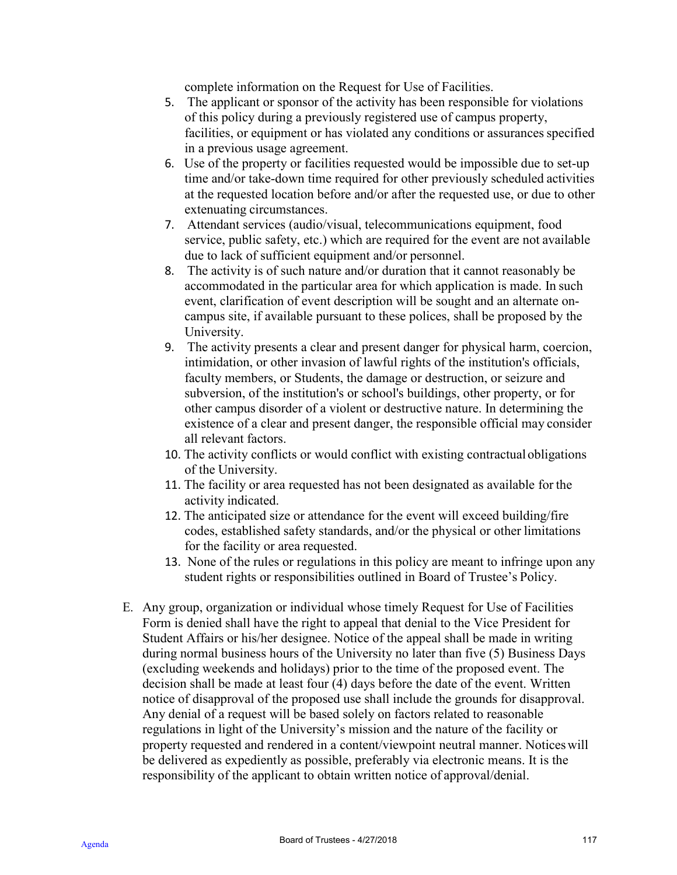complete information on the Request for Use of Facilities.

- 5. The applicant or sponsor of the activity has been responsible for violations of this policy during a previously registered use of campus property, facilities, or equipment or has violated any conditions or assurances specified in a previous usage agreement.
- 6. Use of the property or facilities requested would be impossible due to set-up time and/or take-down time required for other previously scheduled activities at the requested location before and/or after the requested use, or due to other extenuating circumstances.
- 7. Attendant services (audio/visual, telecommunications equipment, food service, public safety, etc.) which are required for the event are not available due to lack of sufficient equipment and/or personnel.
- 8. The activity is of such nature and/or duration that it cannot reasonably be accommodated in the particular area for which application is made. In such event, clarification of event description will be sought and an alternate oncampus site, if available pursuant to these polices, shall be proposed by the University.
- 9. The activity presents a clear and present danger for physical harm, coercion, intimidation, or other invasion of lawful rights of the institution's officials, faculty members, or Students, the damage or destruction, or seizure and subversion, of the institution's or school's buildings, other property, or for other campus disorder of a violent or destructive nature. In determining the existence of a clear and present danger, the responsible official may consider all relevant factors.
- 10. The activity conflicts or would conflict with existing contractual obligations of the University.
- 11. The facility or area requested has not been designated as available for the activity indicated.
- 12. The anticipated size or attendance for the event will exceed building/fire codes, established safety standards, and/or the physical or other limitations for the facility or area requested.
- 13. None of the rules or regulations in this policy are meant to infringe upon any student rights or responsibilities outlined in Board of Trustee's Policy.
- E. Any group, organization or individual whose timely Request for Use of Facilities Form is denied shall have the right to appeal that denial to the Vice President for Student Affairs or his/her designee. Notice of the appeal shall be made in writing during normal business hours of the University no later than five (5) Business Days (excluding weekends and holidays) prior to the time of the proposed event. The decision shall be made at least four (4) days before the date of the event. Written notice of disapproval of the proposed use shall include the grounds for disapproval. Any denial of a request will be based solely on factors related to reasonable regulations in light of the University's mission and the nature of the facility or property requested and rendered in a content/viewpoint neutral manner. Noticeswill be delivered as expediently as possible, preferably via electronic means. It is the responsibility of the applicant to obtain written notice of approval/denial.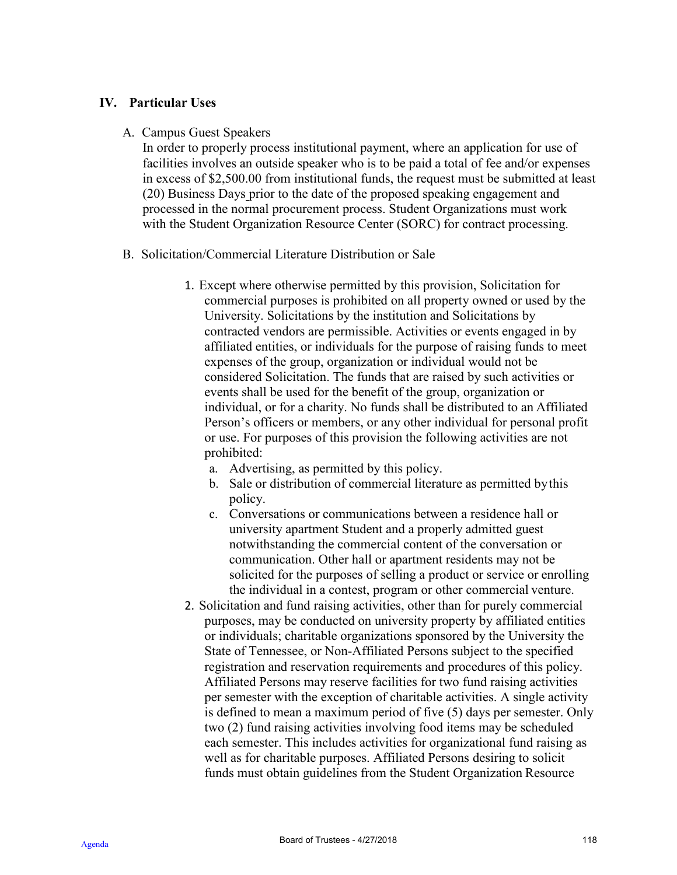### **IV. Particular Uses**

A. Campus Guest Speakers

In order to properly process institutional payment, where an application for use of facilities involves an outside speaker who is to be paid a total of fee and/or expenses in excess of \$2,500.00 from institutional funds, the request must be submitted at least (20) Business Days prior to the date of the proposed speaking engagement and processed in the normal procurement process. Student Organizations must work with the Student Organization Resource Center (SORC) for contract processing.

- B. Solicitation/Commercial Literature Distribution or Sale
	- 1. Except where otherwise permitted by this provision, Solicitation for commercial purposes is prohibited on all property owned or used by the University. Solicitations by the institution and Solicitations by contracted vendors are permissible. Activities or events engaged in by affiliated entities, or individuals for the purpose of raising funds to meet expenses of the group, organization or individual would not be considered Solicitation. The funds that are raised by such activities or events shall be used for the benefit of the group, organization or individual, or for a charity. No funds shall be distributed to an Affiliated Person's officers or members, or any other individual for personal profit or use. For purposes of this provision the following activities are not prohibited:
		- a. Advertising, as permitted by this policy.
		- b. Sale or distribution of commercial literature as permitted bythis policy.
		- c. Conversations or communications between a residence hall or university apartment Student and a properly admitted guest notwithstanding the commercial content of the conversation or communication. Other hall or apartment residents may not be solicited for the purposes of selling a product or service or enrolling the individual in a contest, program or other commercial venture.
	- 2. Solicitation and fund raising activities, other than for purely commercial purposes, may be conducted on university property by affiliated entities or individuals; charitable organizations sponsored by the University the State of Tennessee, or Non-Affiliated Persons subject to the specified registration and reservation requirements and procedures of this policy. Affiliated Persons may reserve facilities for two fund raising activities per semester with the exception of charitable activities. A single activity is defined to mean a maximum period of five (5) days per semester. Only two (2) fund raising activities involving food items may be scheduled each semester. This includes activities for organizational fund raising as well as for charitable purposes. Affiliated Persons desiring to solicit funds must obtain guidelines from the Student Organization Resource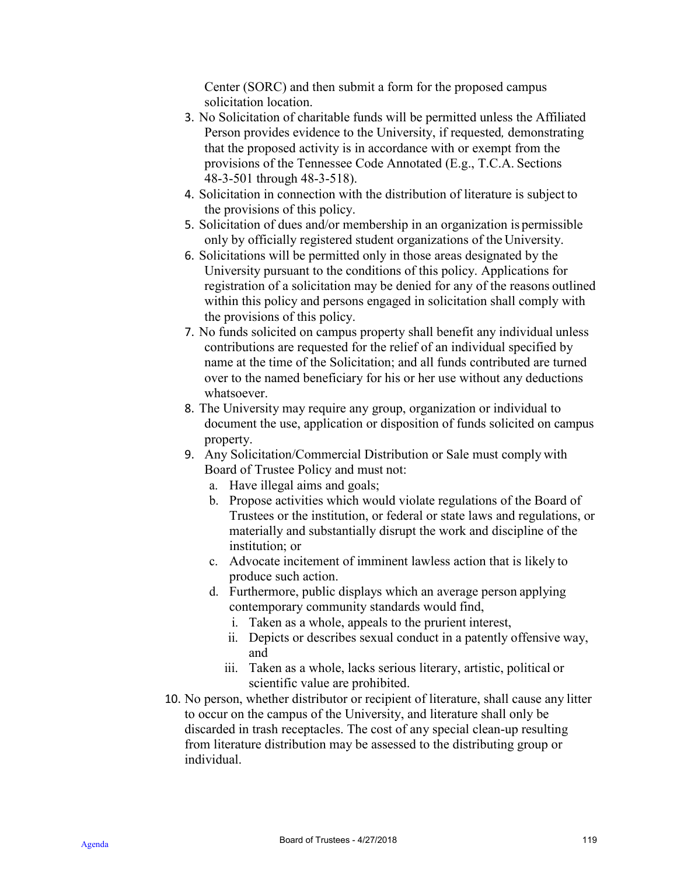Center (SORC) and then submit a form for the proposed campus solicitation location.

- 3. No Solicitation of charitable funds will be permitted unless the Affiliated Person provides evidence to the University, if requested*,* demonstrating that the proposed activity is in accordance with or exempt from the provisions of the Tennessee Code Annotated (E.g., T.C.A. Sections 48-3-501 through 48-3-518).
- 4. Solicitation in connection with the distribution of literature is subject to the provisions of this policy.
- 5. Solicitation of dues and/or membership in an organization is permissible only by officially registered student organizations of the University.
- 6. Solicitations will be permitted only in those areas designated by the University pursuant to the conditions of this policy. Applications for registration of a solicitation may be denied for any of the reasons outlined within this policy and persons engaged in solicitation shall comply with the provisions of this policy.
- 7. No funds solicited on campus property shall benefit any individual unless contributions are requested for the relief of an individual specified by name at the time of the Solicitation; and all funds contributed are turned over to the named beneficiary for his or her use without any deductions whatsoever.
- 8. The University may require any group, organization or individual to document the use, application or disposition of funds solicited on campus property.
- 9. Any Solicitation/Commercial Distribution or Sale must comply with Board of Trustee Policy and must not:
	- a. Have illegal aims and goals;
	- b. Propose activities which would violate regulations of the Board of Trustees or the institution, or federal or state laws and regulations, or materially and substantially disrupt the work and discipline of the institution; or
	- c. Advocate incitement of imminent lawless action that is likely to produce such action.
	- d. Furthermore, public displays which an average person applying contemporary community standards would find,
		- i. Taken as a whole, appeals to the prurient interest,
		- ii. Depicts or describes sexual conduct in a patently offensive way, and
		- iii. Taken as a whole, lacks serious literary, artistic, political or scientific value are prohibited.
- 10. No person, whether distributor or recipient of literature, shall cause any litter to occur on the campus of the University, and literature shall only be discarded in trash receptacles. The cost of any special clean-up resulting from literature distribution may be assessed to the distributing group or individual.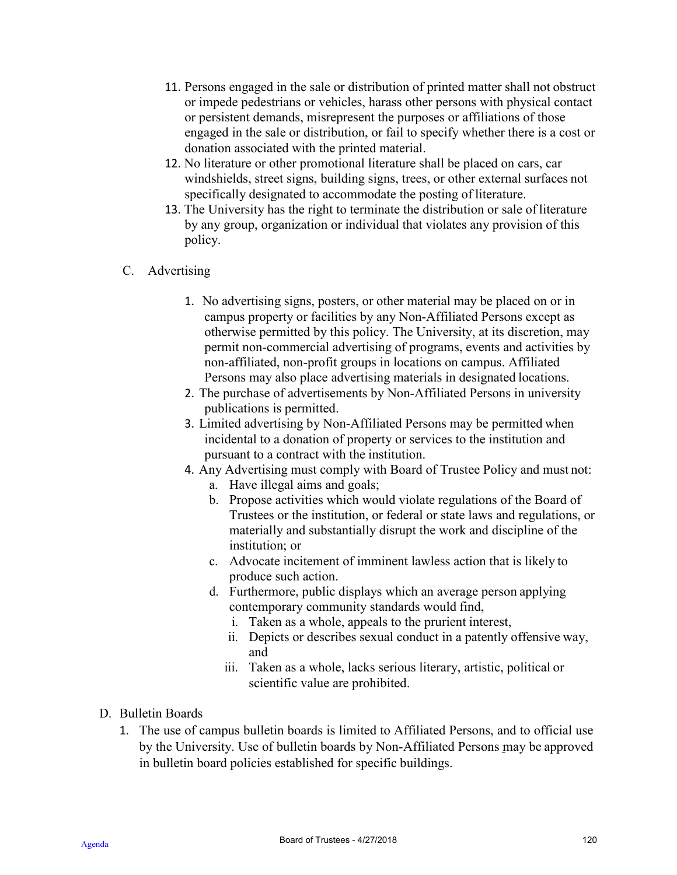- 11. Persons engaged in the sale or distribution of printed matter shall not obstruct or impede pedestrians or vehicles, harass other persons with physical contact or persistent demands, misrepresent the purposes or affiliations of those engaged in the sale or distribution, or fail to specify whether there is a cost or donation associated with the printed material.
- 12. No literature or other promotional literature shall be placed on cars, car windshields, street signs, building signs, trees, or other external surfaces not specifically designated to accommodate the posting of literature.
- 13. The University has the right to terminate the distribution or sale of literature by any group, organization or individual that violates any provision of this policy.

# C. Advertising

- 1. No advertising signs, posters, or other material may be placed on or in campus property or facilities by any Non-Affiliated Persons except as otherwise permitted by this policy. The University, at its discretion, may permit non-commercial advertising of programs, events and activities by non-affiliated, non-profit groups in locations on campus. Affiliated Persons may also place advertising materials in designated locations.
- 2. The purchase of advertisements by Non-Affiliated Persons in university publications is permitted.
- 3. Limited advertising by Non-Affiliated Persons may be permitted when incidental to a donation of property or services to the institution and pursuant to a contract with the institution.
- 4. Any Advertising must comply with Board of Trustee Policy and must not:
	- a. Have illegal aims and goals;
	- b. Propose activities which would violate regulations of the Board of Trustees or the institution, or federal or state laws and regulations, or materially and substantially disrupt the work and discipline of the institution; or
	- c. Advocate incitement of imminent lawless action that is likely to produce such action.
	- d. Furthermore, public displays which an average person applying contemporary community standards would find,
		- i. Taken as a whole, appeals to the prurient interest,
		- ii. Depicts or describes sexual conduct in a patently offensive way, and
		- iii. Taken as a whole, lacks serious literary, artistic, political or scientific value are prohibited.
- D. Bulletin Boards
	- 1. The use of campus bulletin boards is limited to Affiliated Persons, and to official use by the University. Use of bulletin boards by Non-Affiliated Persons may be approved in bulletin board policies established for specific buildings.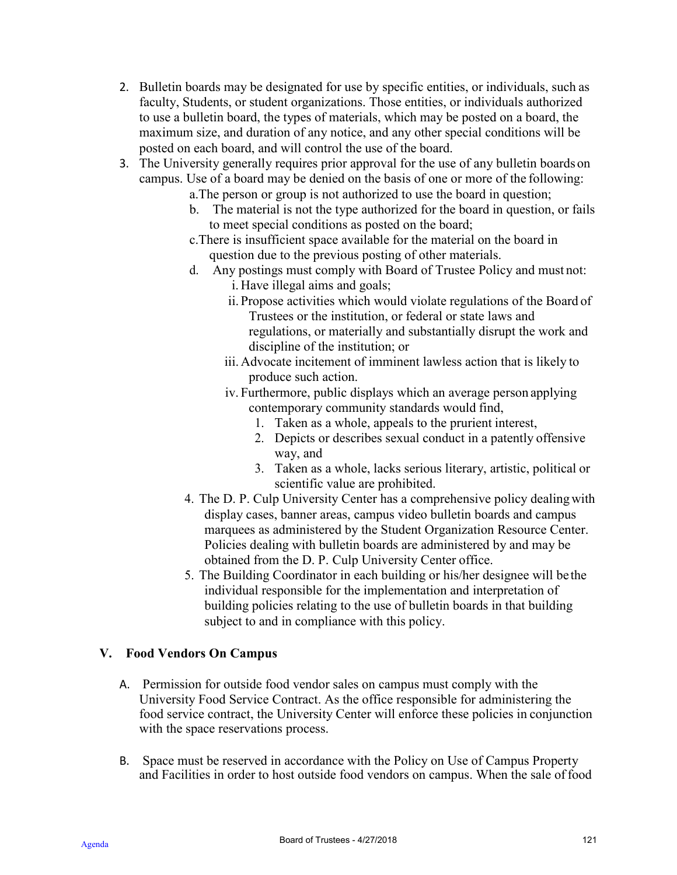- 2. Bulletin boards may be designated for use by specific entities, or individuals, such as faculty, Students, or student organizations. Those entities, or individuals authorized to use a bulletin board, the types of materials, which may be posted on a board, the maximum size, and duration of any notice, and any other special conditions will be posted on each board, and will control the use of the board.
- 3. The University generally requires prior approval for the use of any bulletin boards on campus. Use of a board may be denied on the basis of one or more of the following:
	- a.The person or group is not authorized to use the board in question;
	- b. The material is not the type authorized for the board in question, or fails to meet special conditions as posted on the board;
	- c.There is insufficient space available for the material on the board in question due to the previous posting of other materials.
	- d. Any postings must comply with Board of Trustee Policy and must not: i. Have illegal aims and goals;
		- ii. Propose activities which would violate regulations of the Board of Trustees or the institution, or federal or state laws and regulations, or materially and substantially disrupt the work and discipline of the institution; or
		- iii. Advocate incitement of imminent lawless action that is likely to produce such action.
		- iv. Furthermore, public displays which an average person applying contemporary community standards would find,
			- 1. Taken as a whole, appeals to the prurient interest,
			- 2. Depicts or describes sexual conduct in a patently offensive way, and
			- 3. Taken as a whole, lacks serious literary, artistic, political or scientific value are prohibited.
	- 4. The D. P. Culp University Center has a comprehensive policy dealingwith display cases, banner areas, campus video bulletin boards and campus marquees as administered by the Student Organization Resource Center. Policies dealing with bulletin boards are administered by and may be obtained from the D. P. Culp University Center office.
	- 5. The Building Coordinator in each building or his/her designee will be the individual responsible for the implementation and interpretation of building policies relating to the use of bulletin boards in that building subject to and in compliance with this policy.

# **V. Food Vendors On Campus**

- A. Permission for outside food vendor sales on campus must comply with the University Food Service Contract. As the office responsible for administering the food service contract, the University Center will enforce these policies in conjunction with the space reservations process.
- B. Space must be reserved in accordance with the Policy on Use of Campus Property and Facilities in order to host outside food vendors on campus. When the sale offood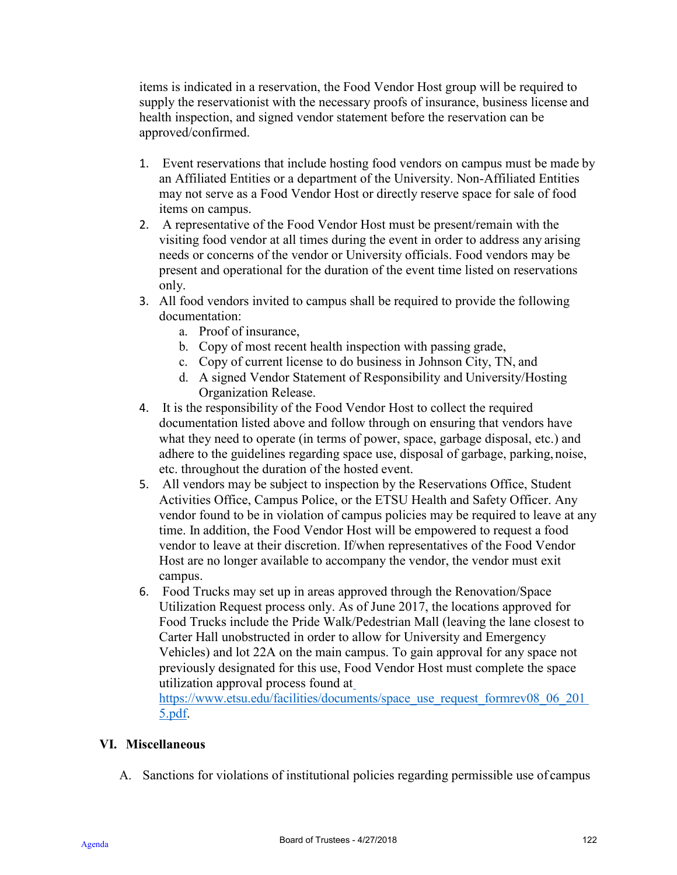items is indicated in a reservation, the Food Vendor Host group will be required to supply the reservationist with the necessary proofs of insurance, business license and health inspection, and signed vendor statement before the reservation can be approved/confirmed.

- 1. Event reservations that include hosting food vendors on campus must be made by an Affiliated Entities or a department of the University. Non-Affiliated Entities may not serve as a Food Vendor Host or directly reserve space for sale of food items on campus.
- 2. A representative of the Food Vendor Host must be present/remain with the visiting food vendor at all times during the event in order to address any arising needs or concerns of the vendor or University officials. Food vendors may be present and operational for the duration of the event time listed on reservations only.
- 3. All food vendors invited to campus shall be required to provide the following documentation:
	- a. Proof of insurance,
	- b. Copy of most recent health inspection with passing grade,
	- c. Copy of current license to do business in Johnson City, TN, and
	- d. A signed Vendor Statement of Responsibility and University/Hosting Organization Release.
- 4. It is the responsibility of the Food Vendor Host to collect the required documentation listed above and follow through on ensuring that vendors have what they need to operate (in terms of power, space, garbage disposal, etc.) and adhere to the guidelines regarding space use, disposal of garbage, parking, noise, etc. throughout the duration of the hosted event.
- 5. All vendors may be subject to inspection by the Reservations Office, Student Activities Office, Campus Police, or the ETSU Health and Safety Officer. Any vendor found to be in violation of campus policies may be required to leave at any time. In addition, the Food Vendor Host will be empowered to request a food vendor to leave at their discretion. If/when representatives of the Food Vendor Host are no longer available to accompany the vendor, the vendor must exit campus.
- 6. Food Trucks may set up in areas approved through the Renovation/Space Utilization Request process only. As of June 2017, the locations approved for Food Trucks include the Pride Walk/Pedestrian Mall (leaving the lane closest to Carter Hall unobstructed in order to allow for University and Emergency Vehicles) and lot 22A on the main campus. To gain approval for any space not previously designated for this use, Food Vendor Host must complete the space utilization approval process found at

[https://www.etsu.edu/facilities/documents/space\\_use\\_request\\_formrev08\\_06\\_201](https://www.etsu.edu/facilities/documents/space_use_request_formrev08_06_2015.pdf)\_ [5.pdf.](https://www.etsu.edu/facilities/documents/space_use_request_formrev08_06_2015.pdf)

# **VI. Miscellaneous**

A. Sanctions for violations of institutional policies regarding permissible use of campus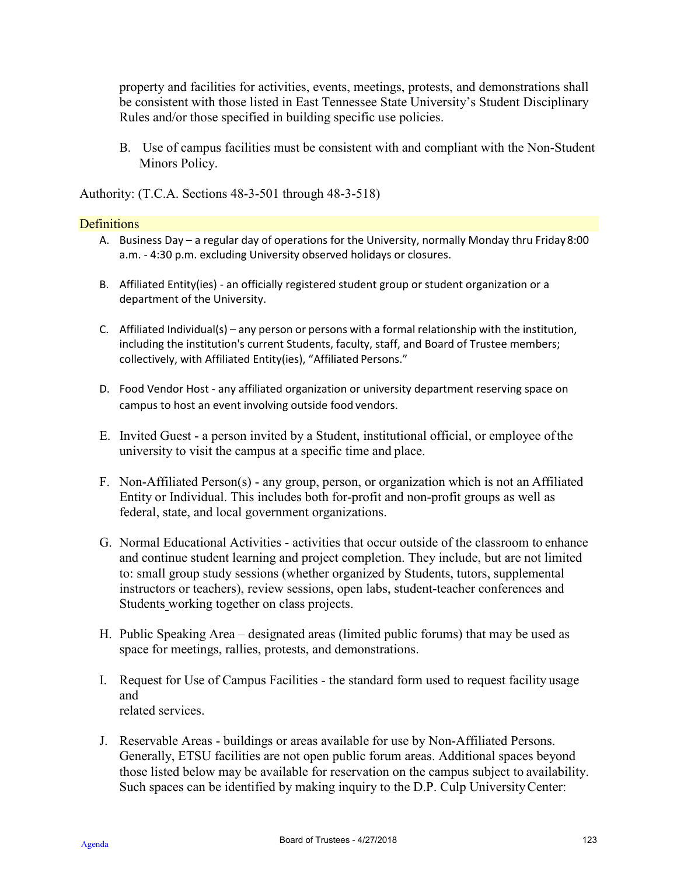property and facilities for activities, events, meetings, protests, and demonstrations shall be consistent with those listed in East Tennessee State University's Student Disciplinary Rules and/or those specified in building specific use policies.

B. Use of campus facilities must be consistent with and compliant with the Non-Student Minors Policy.

Authority: (T.C.A. Sections 48-3-501 through 48-3-518)

#### **Definitions**

- A. Business Day a regular day of operations for the University, normally Monday thru Friday8:00 a.m. - 4:30 p.m. excluding University observed holidays or closures.
- B. Affiliated Entity(ies) an officially registered student group or student organization or a department of the University.
- C. Affiliated Individual(s) any person or persons with a formal relationship with the institution, including the institution's current Students, faculty, staff, and Board of Trustee members; collectively, with Affiliated Entity(ies), "Affiliated Persons."
- D. Food Vendor Host any affiliated organization or university department reserving space on campus to host an event involving outside food vendors.
- E. Invited Guest a person invited by a Student, institutional official, or employee ofthe university to visit the campus at a specific time and place.
- F. Non-Affiliated Person(s) any group, person, or organization which is not an Affiliated Entity or Individual. This includes both for-profit and non-profit groups as well as federal, state, and local government organizations.
- G. Normal Educational Activities activities that occur outside of the classroom to enhance and continue student learning and project completion. They include, but are not limited to: small group study sessions (whether organized by Students, tutors, supplemental instructors or teachers), review sessions, open labs, student-teacher conferences and Students working together on class projects.
- H. Public Speaking Area designated areas (limited public forums) that may be used as space for meetings, rallies, protests, and demonstrations.
- I. Request for Use of Campus Facilities the standard form used to request facility usage and related services.
- J. Reservable Areas buildings or areas available for use by Non-Affiliated Persons. Generally, ETSU facilities are not open public forum areas. Additional spaces beyond those listed below may be available for reservation on the campus subject to availability. Such spaces can be identified by making inquiry to the D.P. Culp UniversityCenter: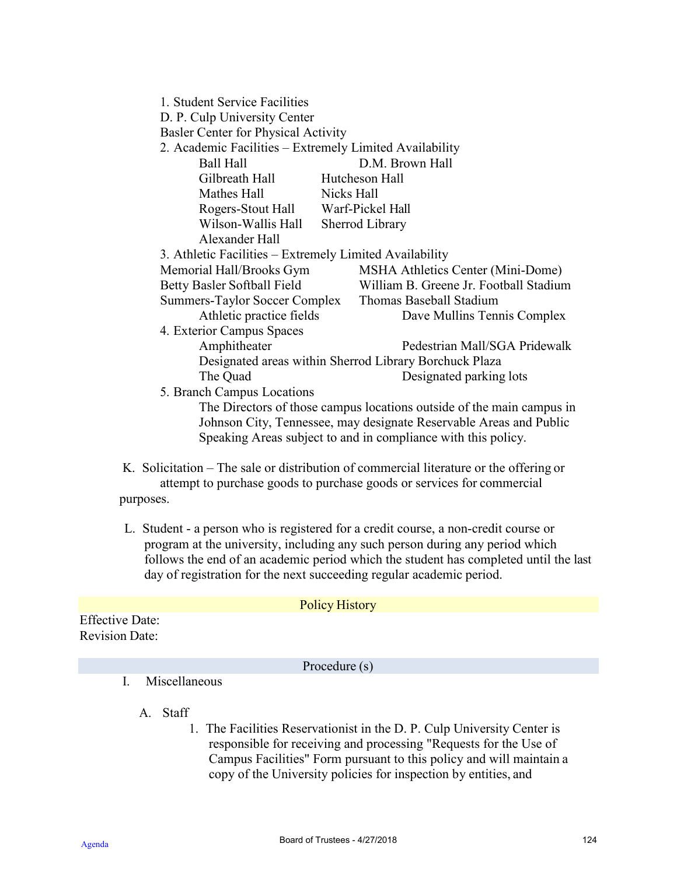|                                                        | 1. Student Service Facilities<br>D. P. Culp University Center<br>Basler Center for Physical Activity |                                                                       |  |
|--------------------------------------------------------|------------------------------------------------------------------------------------------------------|-----------------------------------------------------------------------|--|
|                                                        | 2. Academic Facilities – Extremely Limited Availability                                              |                                                                       |  |
|                                                        | Ball Hall                                                                                            | D.M. Brown Hall                                                       |  |
|                                                        | Gilbreath Hall Hutcheson Hall                                                                        |                                                                       |  |
|                                                        | Mathes Hall<br>Nicks Hall                                                                            |                                                                       |  |
|                                                        | Rogers-Stout Hall Warf-Pickel Hall                                                                   |                                                                       |  |
|                                                        | Wilson-Wallis Hall<br>Sherrod Library                                                                |                                                                       |  |
|                                                        | Alexander Hall                                                                                       |                                                                       |  |
|                                                        | 3. Athletic Facilities – Extremely Limited Availability                                              |                                                                       |  |
|                                                        | Memorial Hall/Brooks Gym                                                                             | MSHA Athletics Center (Mini-Dome)                                     |  |
|                                                        | Betty Basler Softball Field                                                                          | William B. Greene Jr. Football Stadium                                |  |
|                                                        | Summers-Taylor Soccer Complex                                                                        | Thomas Baseball Stadium                                               |  |
|                                                        | Athletic practice fields                                                                             | Dave Mullins Tennis Complex                                           |  |
|                                                        | 4. Exterior Campus Spaces                                                                            |                                                                       |  |
|                                                        | Amphitheater                                                                                         | Pedestrian Mall/SGA Pridewalk                                         |  |
| Designated areas within Sherrod Library Borchuck Plaza |                                                                                                      |                                                                       |  |
|                                                        | The Quad                                                                                             | Designated parking lots                                               |  |
|                                                        | 5. Branch Campus Locations                                                                           |                                                                       |  |
|                                                        |                                                                                                      | The Directors of those campus locations outside of the main campus in |  |
|                                                        |                                                                                                      | Johnson City, Tennessee, may designate Reservable Areas and Public    |  |
|                                                        |                                                                                                      |                                                                       |  |
|                                                        | Speaking Areas subject to and in compliance with this policy.                                        |                                                                       |  |
|                                                        |                                                                                                      |                                                                       |  |

K. Solicitation – The sale or distribution of commercial literature or the offering or attempt to purchase goods to purchase goods or services for commercial purposes.

L. Student - a person who is registered for a credit course, a non-credit course or program at the university, including any such person during any period which follows the end of an academic period which the student has completed until the last day of registration for the next succeeding regular academic period.

Policy History Effective Date: Revision Date:

Procedure (s)

I. Miscellaneous

A. Staff

1. The Facilities Reservationist in the D. P. Culp University Center is responsible for receiving and processing "Requests for the Use of Campus Facilities" Form pursuant to this policy and will maintain a copy of the University policies for inspection by entities, and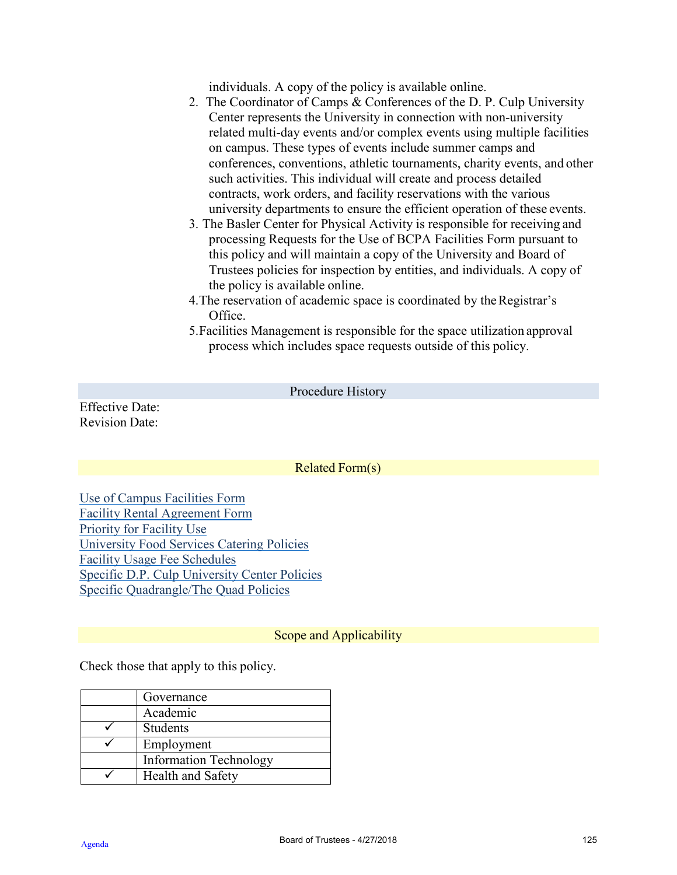individuals. A copy of the policy is available online.

- 2. The Coordinator of Camps & Conferences of the D. P. Culp University Center represents the University in connection with non-university related multi-day events and/or complex events using multiple facilities on campus. These types of events include summer camps and conferences, conventions, athletic tournaments, charity events, and other such activities. This individual will create and process detailed contracts, work orders, and facility reservations with the various university departments to ensure the efficient operation of these events.
- 3. The Basler Center for Physical Activity is responsible for receiving and processing Requests for the Use of BCPA Facilities Form pursuant to this policy and will maintain a copy of the University and Board of Trustees policies for inspection by entities, and individuals. A copy of the policy is available online.
- 4. The reservation of academic space is coordinated by the Registrar's Office.
- 5.Facilities Management is responsible for the space utilization approval process which includes space requests outside of this policy.

Effective Date: Revision Date:

Procedure History

Related Form(s)

[Use of Campus Facilities Form](https://www.etsu.edu/students/univcent/policies/documentsandforms.php) [Facility Rental Agreement Form](https://www.etsu.edu/students/univcent/policies/documentsandforms.php) [Priority for Facility Use](https://www.etsu.edu/students/univcent/policies/documentsandforms.php) [University Food Services Catering Policies](https://www.etsu.edu/students/univcent/policies/documentsandforms.php) [Facility Usage Fee Schedules](https://www.etsu.edu/students/univcent/services/facilityusefees.php) [Specific D.P. Culp University Center Policies](https://www.etsu.edu/students/univcent/policies/documentsandforms.php) [Specific Quadrangle/The Quad Policies](https://www.etsu.edu/students/univcent/policies/documentsandforms.php)

### Scope and Applicability

Check those that apply to this policy.

| Governance                    |
|-------------------------------|
| Academic                      |
| Students                      |
| Employment                    |
| <b>Information Technology</b> |
| Health and Safety             |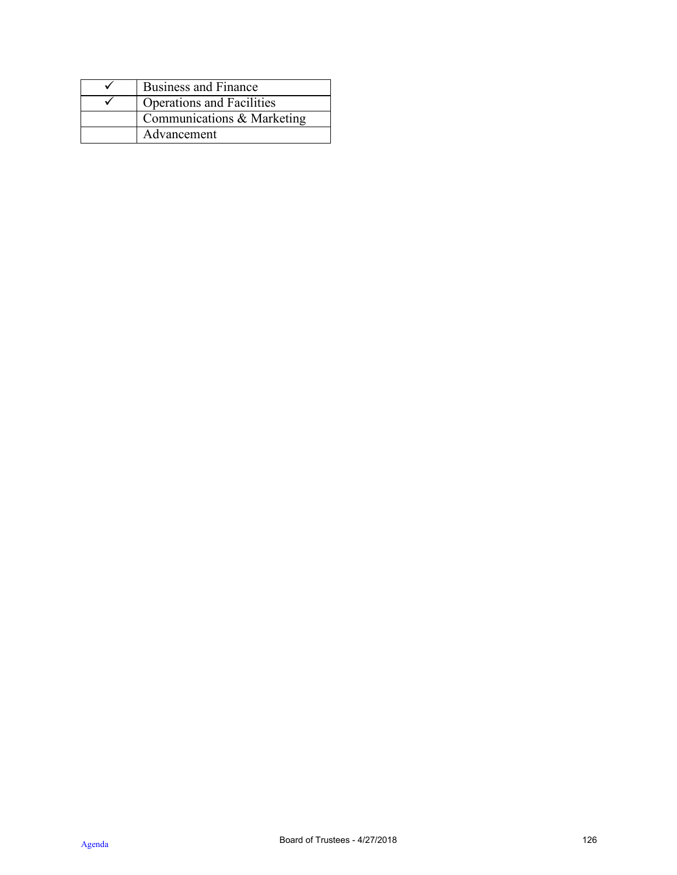| <b>Business and Finance</b>      |
|----------------------------------|
| <b>Operations and Facilities</b> |
| Communications & Marketing       |
| Advancement                      |